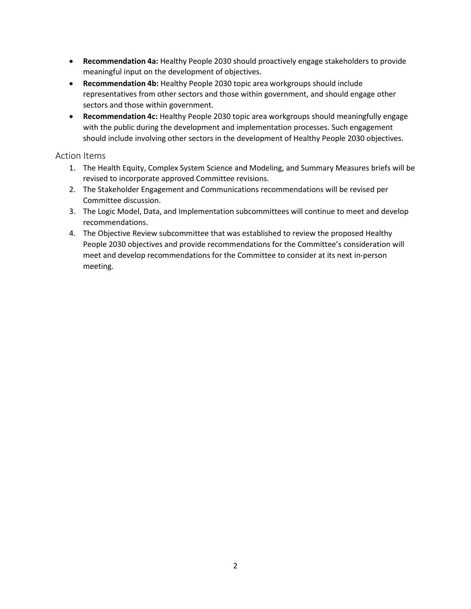- **Recommendation 4a:** Healthy People 2030 should proactively engage stakeholders to provide meaningful input on the development of objectives.
- **Recommendation 4b:** Healthy People 2030 topic area workgroups should include representatives from other sectors and those within government, and should engage other sectors and those within government.
- **Recommendation 4c:** Healthy People 2030 topic area workgroups should meaningfully engage with the public during the development and implementation processes. Such engagement should include involving other sectors in the development of Healthy People 2030 objectives.

## Action Items

- 1. The Health Equity, Complex System Science and Modeling, and Summary Measures briefs will be revised to incorporate approved Committee revisions.
- 2. The Stakeholder Engagement and Communications recommendations will be revised per Committee discussion.
- 3. The Logic Model, Data, and Implementation subcommittees will continue to meet and develop recommendations.
- 4. The Objective Review subcommittee that was established to review the proposed Healthy People 2030 objectives and provide recommendations for the Committee's consideration will meet and develop recommendations for the Committee to consider at its next in-person meeting.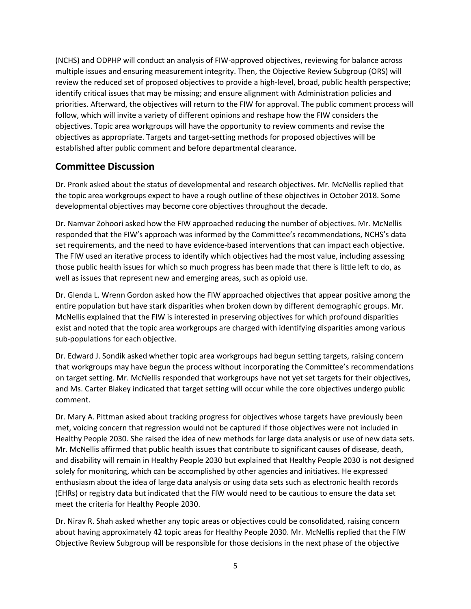(NCHS) and ODPHP will conduct an analysis of FIW-approved objectives, reviewing for balance across multiple issues and ensuring measurement integrity. Then, the Objective Review Subgroup (ORS) will review the reduced set of proposed objectives to provide a high-level, broad, public health perspective; identify critical issues that may be missing; and ensure alignment with Administration policies and priorities. Afterward, the objectives will return to the FIW for approval. The public comment process will follow, which will invite a variety of different opinions and reshape how the FIW considers the objectives. Topic area workgroups will have the opportunity to review comments and revise the objectives as appropriate. Targets and target-setting methods for proposed objectives will be established after public comment and before departmental clearance.

#### Committee Discussion

Dr. Pronk asked about the status of developmental and research objectives. Mr. McNellis replied that the topic area workgroups expect to have a rough outline of these objectives in October 2018. Some developmental objectives may become core objectives throughout the decade.

Dr. Namvar Zohoori asked how the FIW approached reducing the number of objectives. Mr. McNellis responded that the FIW's approach was informed by the Committee's recommendations, NCHS's data set requirements, and the need to have evidence-based interventions that can impact each objective. The FIW used an iterative process to identify which objectives had the most value, including assessing those public health issues for which so much progress has been made that there is little left to do, as well as issues that represent new and emerging areas, such as opioid use.

Dr. Glenda L. Wrenn Gordon asked how the FIW approached objectives that appear positive among the entire population but have stark disparities when broken down by different demographic groups. Mr. McNellis explained that the FIW is interested in preserving objectives for which profound disparities exist and noted that the topic area workgroups are charged with identifying disparities among various sub-populations for each objective.

Dr. Edward J. Sondik asked whether topic area workgroups had begun setting targets, raising concern that workgroups may have begun the process without incorporating the Committee's recommendations on target setting. Mr. McNellis responded that workgroups have not yet set targets for their objectives, and Ms. Carter Blakey indicated that target setting will occur while the core objectives undergo public comment.

Dr. Mary A. Pittman asked about tracking progress for objectives whose targets have previously been met, voicing concern that regression would not be captured if those objectives were not included in Healthy People 2030. She raised the idea of new methods for large data analysis or use of new data sets. Mr. McNellis affirmed that public health issues that contribute to significant causes of disease, death, and disability will remain in Healthy People 2030 but explained that Healthy People 2030 is not designed solely for monitoring, which can be accomplished by other agencies and initiatives. He expressed enthusiasm about the idea of large data analysis or using data sets such as electronic health records (EHRs) or registry data but indicated that the FIW would need to be cautious to ensure the data set meet the criteria for Healthy People 2030.

Dr. Nirav R. Shah asked whether any topic areas or objectives could be consolidated, raising concern about having approximately 42 topic areas for Healthy People 2030. Mr. McNellis replied that the FIW Objective Review Subgroup will be responsible for those decisions in the next phase of the objective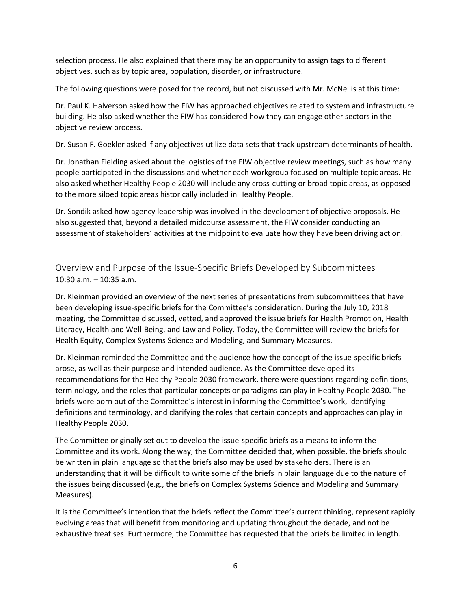selection process. He also explained that there may be an opportunity to assign tags to different objectives, such as by topic area, population, disorder, or infrastructure.

The following questions were posed for the record, but not discussed with Mr. McNellis at this time:

Dr. Paul K. Halverson asked how the FIW has approached objectives related to system and infrastructure building. He also asked whether the FIW has considered how they can engage other sectors in the objective review process.

Dr. Susan F. Goekler asked if any objectives utilize data sets that track upstream determinants of health.

Dr. Jonathan Fielding asked about the logistics of the FIW objective review meetings, such as how many people participated in the discussions and whether each workgroup focused on multiple topic areas. He also asked whether Healthy People 2030 will include any cross-cutting or broad topic areas, as opposed to the more siloed topic areas historically included in Healthy People.

Dr. Sondik asked how agency leadership was involved in the development of objective proposals. He also suggested that, beyond a detailed midcourse assessment, the FIW consider conducting an assessment of stakeholders' activities at the midpoint to evaluate how they have been driving action.

Overview and Purpose of the Issue-Specific Briefs Developed by Subcommittees 10:30 a.m. – 10:35 a.m.

Dr. Kleinman provided an overview of the next series of presentations from subcommittees that have been developing issue-specific briefs for the Committee's consideration. During the July 10, 2018 meeting, the Committee discussed, vetted, and approved the issue briefs for Health Promotion, Health Literacy, Health and Well-Being, and Law and Policy. Today, the Committee will review the briefs for Health Equity, Complex Systems Science and Modeling, and Summary Measures.

Dr. Kleinman reminded the Committee and the audience how the concept of the issue-specific briefs arose, as well as their purpose and intended audience. As the Committee developed its recommendations for the Healthy People 2030 framework, there were questions regarding definitions, terminology, and the roles that particular concepts or paradigms can play in Healthy People 2030. The briefs were born out of the Committee's interest in informing the Committee's work, identifying definitions and terminology, and clarifying the roles that certain concepts and approaches can play in Healthy People 2030.

The Committee originally set out to develop the issue-specific briefs as a means to inform the Committee and its work. Along the way, the Committee decided that, when possible, the briefs should be written in plain language so that the briefs also may be used by stakeholders. There is an understanding that it will be difficult to write some of the briefs in plain language due to the nature of the issues being discussed (e.g., the briefs on Complex Systems Science and Modeling and Summary Measures).

It is the Committee's intention that the briefs reflect the Committee's current thinking, represent rapidly evolving areas that will benefit from monitoring and updating throughout the decade, and not be exhaustive treatises. Furthermore, the Committee has requested that the briefs be limited in length.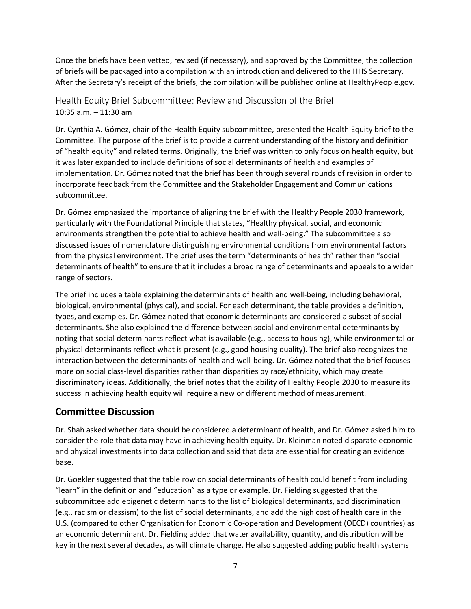Once the briefs have been vetted, revised (if necessary), and approved by the Committee, the collection of briefs will be packaged into a compilation with an introduction and delivered to the HHS Secretary. After the Secretary's receipt of the briefs, the compilation will be published online at HealthyPeople.gov.

Health Equity Brief Subcommittee: Review and Discussion of the Brief 10:35 a.m. – 11:30 am

Dr. Cynthia A. Gómez, chair of the Health Equity subcommittee, presented the Health Equity brief to the Committee. The purpose of the brief is to provide a current understanding of the history and definition of "health equity" and related terms. Originally, the brief was written to only focus on health equity, but it was later expanded to include definitions of social determinants of health and examples of implementation. Dr. Gómez noted that the brief has been through several rounds of revision in order to incorporate feedback from the Committee and the Stakeholder Engagement and Communications subcommittee.

Dr. Gómez emphasized the importance of aligning the brief with the Healthy People 2030 framework, particularly with the Foundational Principle that states, "Healthy physical, social, and economic environments strengthen the potential to achieve health and well-being." The subcommittee also discussed issues of nomenclature distinguishing environmental conditions from environmental factors from the physical environment. The brief uses the term "determinants of health" rather than "social determinants of health" to ensure that it includes a broad range of determinants and appeals to a wider range of sectors.

The brief includes a table explaining the determinants of health and well-being, including behavioral, biological, environmental (physical), and social. For each determinant, the table provides a definition, types, and examples. Dr. Gómez noted that economic determinants are considered a subset of social determinants. She also explained the difference between social and environmental determinants by noting that social determinants reflect what is available (e.g., access to housing), while environmental or physical determinants reflect what is present (e.g., good housing quality). The brief also recognizes the interaction between the determinants of health and well-being. Dr. Gómez noted that the brief focuses more on social class-level disparities rather than disparities by race/ethnicity, which may create discriminatory ideas. Additionally, the brief notes that the ability of Healthy People 2030 to measure its success in achieving health equity will require a new or different method of measurement.

#### Committee Discussion

Dr. Shah asked whether data should be considered a determinant of health, and Dr. Gómez asked him to consider the role that data may have in achieving health equity. Dr. Kleinman noted disparate economic and physical investments into data collection and said that data are essential for creating an evidence base.

Dr. Goekler suggested that the table row on social determinants of health could benefit from including "learn" in the definition and "education" as a type or example. Dr. Fielding suggested that the subcommittee add epigenetic determinants to the list of biological determinants, add discrimination (e.g., racism or classism) to the list of social determinants, and add the high cost of health care in the U.S. (compared to other Organisation for Economic Co-operation and Development (OECD) countries) as an economic determinant. Dr. Fielding added that water availability, quantity, and distribution will be key in the next several decades, as will climate change. He also suggested adding public health systems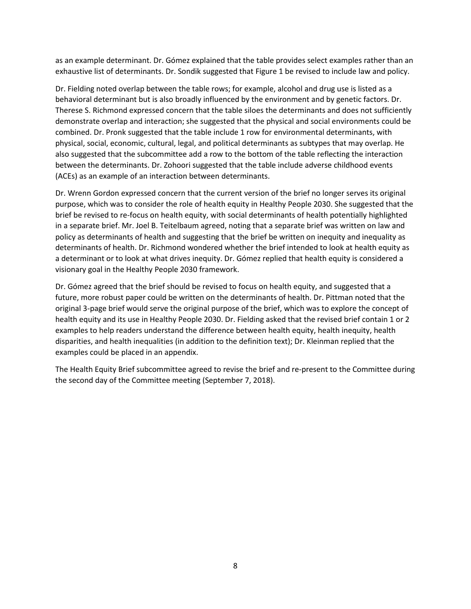as an example determinant. Dr. Gómez explained that the table provides select examples rather than an exhaustive list of determinants. Dr. Sondik suggested that Figure 1 be revised to include law and policy.

Dr. Fielding noted overlap between the table rows; for example, alcohol and drug use is listed as a behavioral determinant but is also broadly influenced by the environment and by genetic factors. Dr. Therese S. Richmond expressed concern that the table siloes the determinants and does not sufficiently demonstrate overlap and interaction; she suggested that the physical and social environments could be combined. Dr. Pronk suggested that the table include 1 row for environmental determinants, with physical, social, economic, cultural, legal, and political determinants as subtypes that may overlap. He also suggested that the subcommittee add a row to the bottom of the table reflecting the interaction between the determinants. Dr. Zohoori suggested that the table include adverse childhood events (ACEs) as an example of an interaction between determinants.

Dr. Wrenn Gordon expressed concern that the current version of the brief no longer serves its original purpose, which was to consider the role of health equity in Healthy People 2030. She suggested that the brief be revised to re-focus on health equity, with social determinants of health potentially highlighted in a separate brief. Mr. Joel B. Teitelbaum agreed, noting that a separate brief was written on law and policy as determinants of health and suggesting that the brief be written on inequity and inequality as determinants of health. Dr. Richmond wondered whether the brief intended to look at health equity as a determinant or to look at what drives inequity. Dr. Gómez replied that health equity is considered a visionary goal in the Healthy People 2030 framework.

Dr. Gómez agreed that the brief should be revised to focus on health equity, and suggested that a future, more robust paper could be written on the determinants of health. Dr. Pittman noted that the original 3-page brief would serve the original purpose of the brief, which was to explore the concept of health equity and its use in Healthy People 2030. Dr. Fielding asked that the revised brief contain 1 or 2 examples to help readers understand the difference between health equity, health inequity, health disparities, and health inequalities (in addition to the definition text); Dr. Kleinman replied that the examples could be placed in an appendix.

The Health Equity Brief subcommittee agreed to revise the brief and re-present to the Committee during the second day of the Committee meeting (September 7, 2018).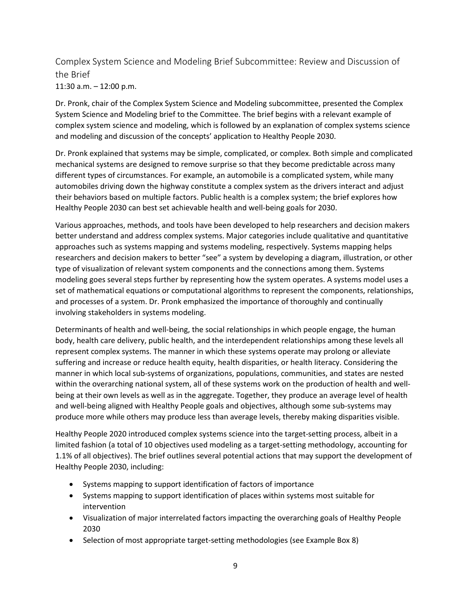Complex System Science and Modeling Brief Subcommittee: Review and Discussion of the Brief 11:30 a.m. – 12:00 p.m.

Dr. Pronk, chair of the Complex System Science and Modeling subcommittee, presented the Complex System Science and Modeling brief to the Committee. The brief begins with a relevant example of complex system science and modeling, which is followed by an explanation of complex systems science and modeling and discussion of the concepts' application to Healthy People 2030.

Dr. Pronk explained that systems may be simple, complicated, or complex. Both simple and complicated mechanical systems are designed to remove surprise so that they become predictable across many different types of circumstances. For example, an automobile is a complicated system, while many automobiles driving down the highway constitute a complex system as the drivers interact and adjust their behaviors based on multiple factors. Public health is a complex system; the brief explores how Healthy People 2030 can best set achievable health and well-being goals for 2030.

Various approaches, methods, and tools have been developed to help researchers and decision makers better understand and address complex systems. Major categories include qualitative and quantitative approaches such as systems mapping and systems modeling, respectively. Systems mapping helps researchers and decision makers to better "see" a system by developing a diagram, illustration, or other type of visualization of relevant system components and the connections among them. Systems modeling goes several steps further by representing how the system operates. A systems model uses a set of mathematical equations or computational algorithms to represent the components, relationships, and processes of a system. Dr. Pronk emphasized the importance of thoroughly and continually involving stakeholders in systems modeling.

Determinants of health and well-being, the social relationships in which people engage, the human body, health care delivery, public health, and the interdependent relationships among these levels all represent complex systems. The manner in which these systems operate may prolong or alleviate suffering and increase or reduce health equity, health disparities, or health literacy. Considering the manner in which local sub-systems of organizations, populations, communities, and states are nested within the overarching national system, all of these systems work on the production of health and wellbeing at their own levels as well as in the aggregate. Together, they produce an average level of health and well-being aligned with Healthy People goals and objectives, although some sub-systems may produce more while others may produce less than average levels, thereby making disparities visible.

Healthy People 2020 introduced complex systems science into the target-setting process, albeit in a limited fashion (a total of 10 objectives used modeling as a target-setting methodology, accounting for 1.1% of all objectives). The brief outlines several potential actions that may support the development of Healthy People 2030, including:

- Systems mapping to support identification of factors of importance
- Systems mapping to support identification of places within systems most suitable for intervention
- Visualization of major interrelated factors impacting the overarching goals of Healthy People 2030
- Selection of most appropriate target-setting methodologies (see Example Box 8)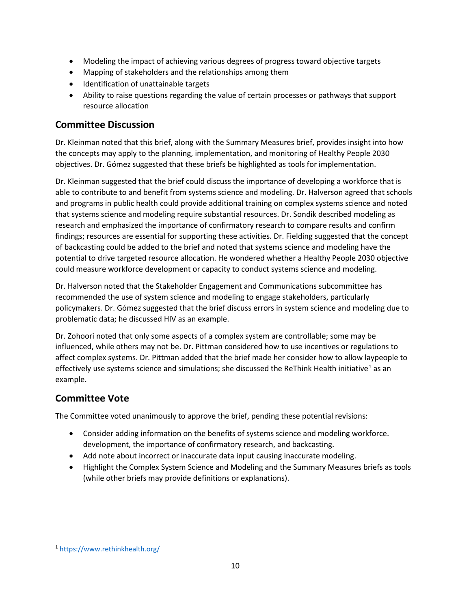- Modeling the impact of achieving various degrees of progress toward objective targets
- Mapping of stakeholders and the relationships among them
- Identification of unattainable targets
- Ability to raise questions regarding the value of certain processes or pathways that support resource allocation

### Committee Discussion

Dr. Kleinman noted that this brief, along with the Summary Measures brief, provides insight into how the concepts may apply to the planning, implementation, and monitoring of Healthy People 2030 objectives. Dr. Gómez suggested that these briefs be highlighted as tools for implementation.

Dr. Kleinman suggested that the brief could discuss the importance of developing a workforce that is able to contribute to and benefit from systems science and modeling. Dr. Halverson agreed that schools and programs in public health could provide additional training on complex systems science and noted that systems science and modeling require substantial resources. Dr. Sondik described modeling as research and emphasized the importance of confirmatory research to compare results and confirm findings; resources are essential for supporting these activities. Dr. Fielding suggested that the concept of backcasting could be added to the brief and noted that systems science and modeling have the potential to drive targeted resource allocation. He wondered whether a Healthy People 2030 objective could measure workforce development or capacity to conduct systems science and modeling.

Dr. Halverson noted that the Stakeholder Engagement and Communications subcommittee has recommended the use of system science and modeling to engage stakeholders, particularly policymakers. Dr. Gómez suggested that the brief discuss errors in system science and modeling due to problematic data; he discussed HIV as an example.

Dr. Zohoori noted that only some aspects of a complex system are controllable; some may be influenced, while others may not be. Dr. Pittman considered how to use incentives or regulations to affect complex systems. Dr. Pittman added that the brief made her consider how to allow laypeople to effectively use systems science and simulations; she discussed the ReThink Health initiative<sup>[1](#page-9-0)</sup> as an example.

## Committee Vote

The Committee voted unanimously to approve the brief, pending these potential revisions:

- Consider adding information on the benefits of systems science and modeling workforce. development, the importance of confirmatory research, and backcasting.
- Add note about incorrect or inaccurate data input causing inaccurate modeling.
- Highlight the Complex System Science and Modeling and the Summary Measures briefs as tools (while other briefs may provide definitions or explanations).

<span id="page-9-0"></span><sup>1</sup> <https://www.rethinkhealth.org/>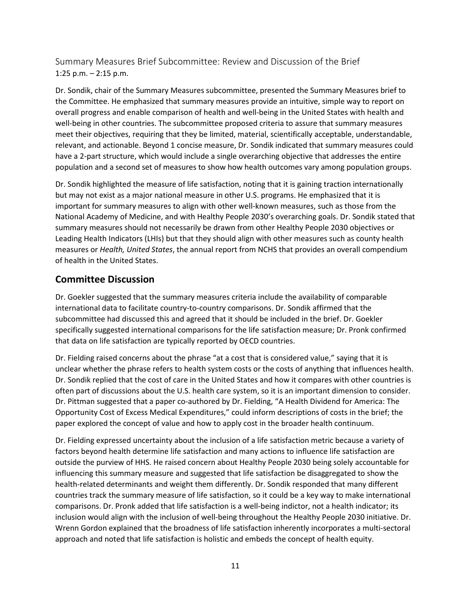Summary Measures Brief Subcommittee: Review and Discussion of the Brief 1:25 p.m. – 2:15 p.m.

Dr. Sondik, chair of the Summary Measures subcommittee, presented the Summary Measures brief to the Committee. He emphasized that summary measures provide an intuitive, simple way to report on overall progress and enable comparison of health and well-being in the United States with health and well-being in other countries. The subcommittee proposed criteria to assure that summary measures meet their objectives, requiring that they be limited, material, scientifically acceptable, understandable, relevant, and actionable. Beyond 1 concise measure, Dr. Sondik indicated that summary measures could have a 2-part structure, which would include a single overarching objective that addresses the entire population and a second set of measures to show how health outcomes vary among population groups.

Dr. Sondik highlighted the measure of life satisfaction, noting that it is gaining traction internationally but may not exist as a major national measure in other U.S. programs. He emphasized that it is important for summary measures to align with other well-known measures, such as those from the National Academy of Medicine, and with Healthy People 2030's overarching goals. Dr. Sondik stated that summary measures should not necessarily be drawn from other Healthy People 2030 objectives or Leading Health Indicators (LHIs) but that they should align with other measures such as county health measures or *Health, United States*, the annual report from NCHS that provides an overall compendium of health in the United States.

#### Committee Discussion

Dr. Goekler suggested that the summary measures criteria include the availability of comparable international data to facilitate country-to-country comparisons. Dr. Sondik affirmed that the subcommittee had discussed this and agreed that it should be included in the brief. Dr. Goekler specifically suggested international comparisons for the life satisfaction measure; Dr. Pronk confirmed that data on life satisfaction are typically reported by OECD countries.

Dr. Fielding raised concerns about the phrase "at a cost that is considered value," saying that it is unclear whether the phrase refers to health system costs or the costs of anything that influences health. Dr. Sondik replied that the cost of care in the United States and how it compares with other countries is often part of discussions about the U.S. health care system, so it is an important dimension to consider. Dr. Pittman suggested that a paper co-authored by Dr. Fielding, "A Health Dividend for America: The Opportunity Cost of Excess Medical Expenditures," could inform descriptions of costs in the brief; the paper explored the concept of value and how to apply cost in the broader health continuum.

Dr. Fielding expressed uncertainty about the inclusion of a life satisfaction metric because a variety of factors beyond health determine life satisfaction and many actions to influence life satisfaction are outside the purview of HHS. He raised concern about Healthy People 2030 being solely accountable for influencing this summary measure and suggested that life satisfaction be disaggregated to show the health-related determinants and weight them differently. Dr. Sondik responded that many different countries track the summary measure of life satisfaction, so it could be a key way to make international comparisons. Dr. Pronk added that life satisfaction is a well-being indictor, not a health indicator; its inclusion would align with the inclusion of well-being throughout the Healthy People 2030 initiative. Dr. Wrenn Gordon explained that the broadness of life satisfaction inherently incorporates a multi-sectoral approach and noted that life satisfaction is holistic and embeds the concept of health equity.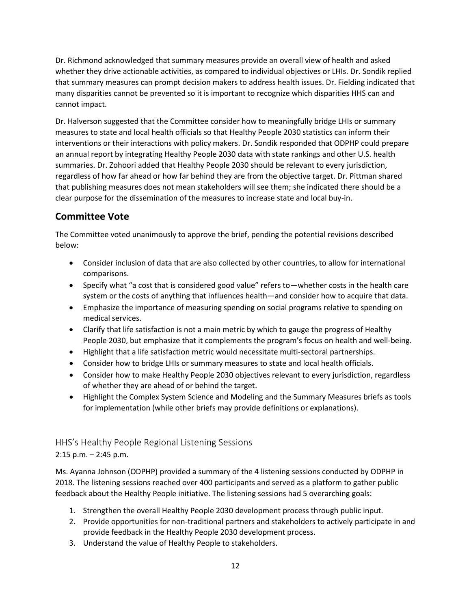Dr. Richmond acknowledged that summary measures provide an overall view of health and asked whether they drive actionable activities, as compared to individual objectives or LHIs. Dr. Sondik replied that summary measures can prompt decision makers to address health issues. Dr. Fielding indicated that many disparities cannot be prevented so it is important to recognize which disparities HHS can and cannot impact.

Dr. Halverson suggested that the Committee consider how to meaningfully bridge LHIs or summary measures to state and local health officials so that Healthy People 2030 statistics can inform their interventions or their interactions with policy makers. Dr. Sondik responded that ODPHP could prepare an annual report by integrating Healthy People 2030 data with state rankings and other U.S. health summaries. Dr. Zohoori added that Healthy People 2030 should be relevant to every jurisdiction, regardless of how far ahead or how far behind they are from the objective target. Dr. Pittman shared that publishing measures does not mean stakeholders will see them; she indicated there should be a clear purpose for the dissemination of the measures to increase state and local buy-in.

## Committee Vote

The Committee voted unanimously to approve the brief, pending the potential revisions described below:

- Consider inclusion of data that are also collected by other countries, to allow for international comparisons.
- Specify what "a cost that is considered good value" refers to—whether costs in the health care system or the costs of anything that influences health—and consider how to acquire that data.
- Emphasize the importance of measuring spending on social programs relative to spending on medical services.
- Clarify that life satisfaction is not a main metric by which to gauge the progress of Healthy People 2030, but emphasize that it complements the program's focus on health and well-being.
- Highlight that a life satisfaction metric would necessitate multi-sectoral partnerships.
- Consider how to bridge LHIs or summary measures to state and local health officials.
- Consider how to make Healthy People 2030 objectives relevant to every jurisdiction, regardless of whether they are ahead of or behind the target.
- Highlight the Complex System Science and Modeling and the Summary Measures briefs as tools for implementation (while other briefs may provide definitions or explanations).

# HHS's Healthy People Regional Listening Sessions 2:15 p.m. – 2:45 p.m.

Ms. Ayanna Johnson (ODPHP) provided a summary of the 4 listening sessions conducted by ODPHP in 2018. The listening sessions reached over 400 participants and served as a platform to gather public feedback about the Healthy People initiative. The listening sessions had 5 overarching goals:

- 1. Strengthen the overall Healthy People 2030 development process through public input.
- 2. Provide opportunities for non-traditional partners and stakeholders to actively participate in and provide feedback in the Healthy People 2030 development process.
- 3. Understand the value of Healthy People to stakeholders.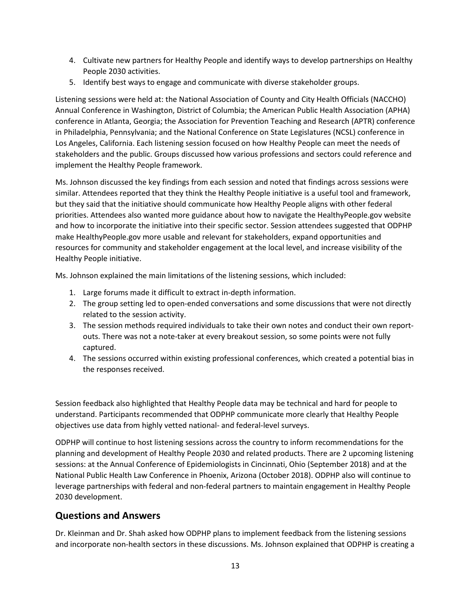- 4. Cultivate new partners for Healthy People and identify ways to develop partnerships on Healthy People 2030 activities.
- 5. Identify best ways to engage and communicate with diverse stakeholder groups.

Listening sessions were held at: the National Association of County and City Health Officials (NACCHO) Annual Conference in Washington, District of Columbia; the American Public Health Association (APHA) conference in Atlanta, Georgia; the Association for Prevention Teaching and Research (APTR) conference in Philadelphia, Pennsylvania; and the National Conference on State Legislatures (NCSL) conference in Los Angeles, California. Each listening session focused on how Healthy People can meet the needs of stakeholders and the public. Groups discussed how various professions and sectors could reference and implement the Healthy People framework.

Ms. Johnson discussed the key findings from each session and noted that findings across sessions were similar. Attendees reported that they think the Healthy People initiative is a useful tool and framework, but they said that the initiative should communicate how Healthy People aligns with other federal priorities. Attendees also wanted more guidance about how to navigate the HealthyPeople.gov website and how to incorporate the initiative into their specific sector. Session attendees suggested that ODPHP make HealthyPeople.gov more usable and relevant for stakeholders, expand opportunities and resources for community and stakeholder engagement at the local level, and increase visibility of the Healthy People initiative.

Ms. Johnson explained the main limitations of the listening sessions, which included:

- 1. Large forums made it difficult to extract in-depth information.
- 2. The group setting led to open-ended conversations and some discussions that were not directly related to the session activity.
- 3. The session methods required individuals to take their own notes and conduct their own reportouts. There was not a note-taker at every breakout session, so some points were not fully captured.
- 4. The sessions occurred within existing professional conferences, which created a potential bias in the responses received.

Session feedback also highlighted that Healthy People data may be technical and hard for people to understand. Participants recommended that ODPHP communicate more clearly that Healthy People objectives use data from highly vetted national- and federal-level surveys.

ODPHP will continue to host listening sessions across the country to inform recommendations for the planning and development of Healthy People 2030 and related products. There are 2 upcoming listening sessions: at the Annual Conference of Epidemiologists in Cincinnati, Ohio (September 2018) and at the National Public Health Law Conference in Phoenix, Arizona (October 2018). ODPHP also will continue to leverage partnerships with federal and non-federal partners to maintain engagement in Healthy People 2030 development.

#### Questions and Answers

Dr. Kleinman and Dr. Shah asked how ODPHP plans to implement feedback from the listening sessions and incorporate non-health sectors in these discussions. Ms. Johnson explained that ODPHP is creating a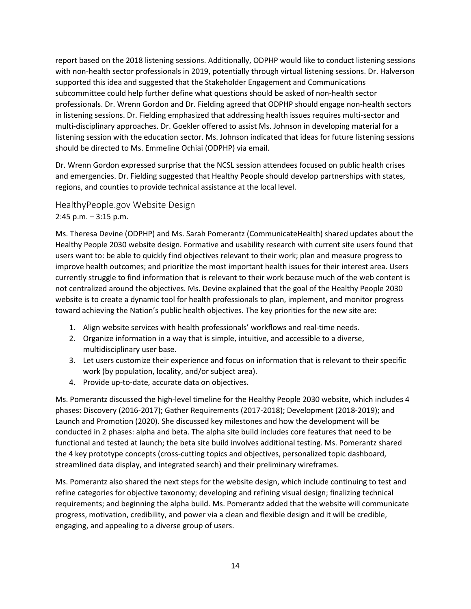report based on the 2018 listening sessions. Additionally, ODPHP would like to conduct listening sessions with non-health sector professionals in 2019, potentially through virtual listening sessions. Dr. Halverson supported this idea and suggested that the Stakeholder Engagement and Communications subcommittee could help further define what questions should be asked of non-health sector professionals. Dr. Wrenn Gordon and Dr. Fielding agreed that ODPHP should engage non-health sectors in listening sessions. Dr. Fielding emphasized that addressing health issues requires multi-sector and multi-disciplinary approaches. Dr. Goekler offered to assist Ms. Johnson in developing material for a listening session with the education sector. Ms. Johnson indicated that ideas for future listening sessions should be directed to Ms. Emmeline Ochiai (ODPHP) via email.

Dr. Wrenn Gordon expressed surprise that the NCSL session attendees focused on public health crises and emergencies. Dr. Fielding suggested that Healthy People should develop partnerships with states, regions, and counties to provide technical assistance at the local level.

HealthyPeople.gov Website Design 2:45 p.m. – 3:15 p.m.

Ms. Theresa Devine (ODPHP) and Ms. Sarah Pomerantz (CommunicateHealth) shared updates about the Healthy People 2030 website design. Formative and usability research with current site users found that users want to: be able to quickly find objectives relevant to their work; plan and measure progress to improve health outcomes; and prioritize the most important health issues for their interest area. Users currently struggle to find information that is relevant to their work because much of the web content is not centralized around the objectives. Ms. Devine explained that the goal of the Healthy People 2030 website is to create a dynamic tool for health professionals to plan, implement, and monitor progress toward achieving the Nation's public health objectives. The key priorities for the new site are:

- 1. Align website services with health professionals' workflows and real-time needs.
- 2. Organize information in a way that is simple, intuitive, and accessible to a diverse, multidisciplinary user base.
- 3. Let users customize their experience and focus on information that is relevant to their specific work (by population, locality, and/or subject area).
- 4. Provide up-to-date, accurate data on objectives.

Ms. Pomerantz discussed the high-level timeline for the Healthy People 2030 website, which includes 4 phases: Discovery (2016-2017); Gather Requirements (2017-2018); Development (2018-2019); and Launch and Promotion (2020). She discussed key milestones and how the development will be conducted in 2 phases: alpha and beta. The alpha site build includes core features that need to be functional and tested at launch; the beta site build involves additional testing. Ms. Pomerantz shared the 4 key prototype concepts (cross-cutting topics and objectives, personalized topic dashboard, streamlined data display, and integrated search) and their preliminary wireframes.

Ms. Pomerantz also shared the next steps for the website design, which include continuing to test and refine categories for objective taxonomy; developing and refining visual design; finalizing technical requirements; and beginning the alpha build. Ms. Pomerantz added that the website will communicate progress, motivation, credibility, and power via a clean and flexible design and it will be credible, engaging, and appealing to a diverse group of users.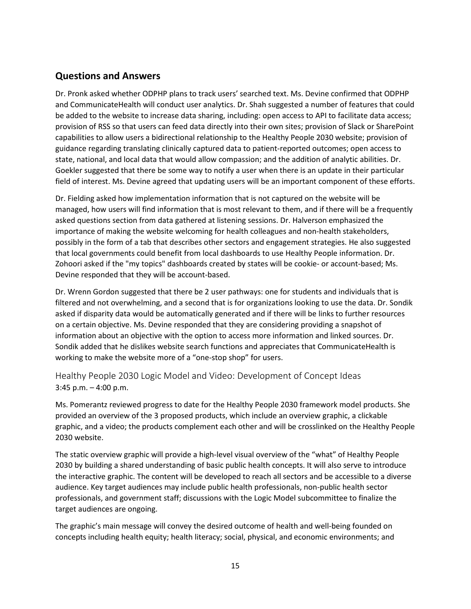#### Questions and Answers

Dr. Pronk asked whether ODPHP plans to track users' searched text. Ms. Devine confirmed that ODPHP and CommunicateHealth will conduct user analytics. Dr. Shah suggested a number of features that could be added to the website to increase data sharing, including: open access to API to facilitate data access; provision of RSS so that users can feed data directly into their own sites; provision of Slack or SharePoint capabilities to allow users a bidirectional relationship to the Healthy People 2030 website; provision of guidance regarding translating clinically captured data to patient-reported outcomes; open access to state, national, and local data that would allow compassion; and the addition of analytic abilities. Dr. Goekler suggested that there be some way to notify a user when there is an update in their particular field of interest. Ms. Devine agreed that updating users will be an important component of these efforts.

Dr. Fielding asked how implementation information that is not captured on the website will be managed, how users will find information that is most relevant to them, and if there will be a frequently asked questions section from data gathered at listening sessions. Dr. Halverson emphasized the importance of making the website welcoming for health colleagues and non-health stakeholders, possibly in the form of a tab that describes other sectors and engagement strategies. He also suggested that local governments could benefit from local dashboards to use Healthy People information. Dr. Zohoori asked if the "my topics" dashboards created by states will be cookie- or account-based; Ms. Devine responded that they will be account-based.

Dr. Wrenn Gordon suggested that there be 2 user pathways: one for students and individuals that is filtered and not overwhelming, and a second that is for organizations looking to use the data. Dr. Sondik asked if disparity data would be automatically generated and if there will be links to further resources on a certain objective. Ms. Devine responded that they are considering providing a snapshot of information about an objective with the option to access more information and linked sources. Dr. Sondik added that he dislikes website search functions and appreciates that CommunicateHealth is working to make the website more of a "one-stop shop" for users.

Healthy People 2030 Logic Model and Video: Development of Concept Ideas 3:45 p.m. – 4:00 p.m.

Ms. Pomerantz reviewed progress to date for the Healthy People 2030 framework model products. She provided an overview of the 3 proposed products, which include an overview graphic, a clickable graphic, and a video; the products complement each other and will be crosslinked on the Healthy People 2030 website.

The static overview graphic will provide a high-level visual overview of the "what" of Healthy People 2030 by building a shared understanding of basic public health concepts. It will also serve to introduce the interactive graphic. The content will be developed to reach all sectors and be accessible to a diverse audience. Key target audiences may include public health professionals, non-public health sector professionals, and government staff; discussions with the Logic Model subcommittee to finalize the target audiences are ongoing.

The graphic's main message will convey the desired outcome of health and well-being founded on concepts including health equity; health literacy; social, physical, and economic environments; and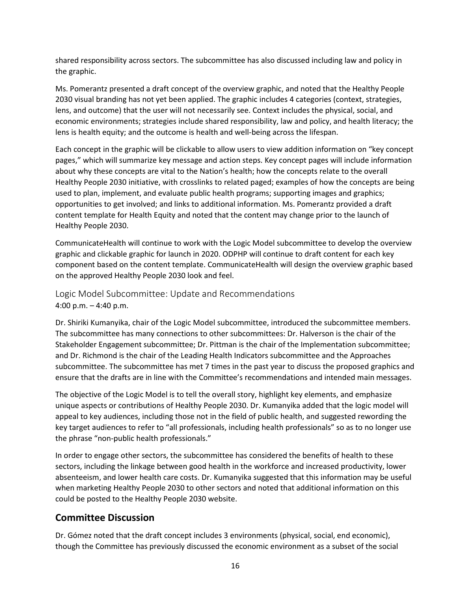shared responsibility across sectors. The subcommittee has also discussed including law and policy in the graphic.

Ms. Pomerantz presented a draft concept of the overview graphic, and noted that the Healthy People 2030 visual branding has not yet been applied. The graphic includes 4 categories (context, strategies, lens, and outcome) that the user will not necessarily see. Context includes the physical, social, and economic environments; strategies include shared responsibility, law and policy, and health literacy; the lens is health equity; and the outcome is health and well-being across the lifespan.

Each concept in the graphic will be clickable to allow users to view addition information on "key concept pages," which will summarize key message and action steps. Key concept pages will include information about why these concepts are vital to the Nation's health; how the concepts relate to the overall Healthy People 2030 initiative, with crosslinks to related paged; examples of how the concepts are being used to plan, implement, and evaluate public health programs; supporting images and graphics; opportunities to get involved; and links to additional information. Ms. Pomerantz provided a draft content template for Health Equity and noted that the content may change prior to the launch of Healthy People 2030.

CommunicateHealth will continue to work with the Logic Model subcommittee to develop the overview graphic and clickable graphic for launch in 2020. ODPHP will continue to draft content for each key component based on the content template. CommunicateHealth will design the overview graphic based on the approved Healthy People 2030 look and feel.

Logic Model Subcommittee: Update and Recommendations 4:00 p.m. – 4:40 p.m.

Dr. Shiriki Kumanyika, chair of the Logic Model subcommittee, introduced the subcommittee members. The subcommittee has many connections to other subcommittees: Dr. Halverson is the chair of the Stakeholder Engagement subcommittee; Dr. Pittman is the chair of the Implementation subcommittee; and Dr. Richmond is the chair of the Leading Health Indicators subcommittee and the Approaches subcommittee. The subcommittee has met 7 times in the past year to discuss the proposed graphics and ensure that the drafts are in line with the Committee's recommendations and intended main messages.

The objective of the Logic Model is to tell the overall story, highlight key elements, and emphasize unique aspects or contributions of Healthy People 2030. Dr. Kumanyika added that the logic model will appeal to key audiences, including those not in the field of public health, and suggested rewording the key target audiences to refer to "all professionals, including health professionals" so as to no longer use the phrase "non-public health professionals."

In order to engage other sectors, the subcommittee has considered the benefits of health to these sectors, including the linkage between good health in the workforce and increased productivity, lower absenteeism, and lower health care costs. Dr. Kumanyika suggested that this information may be useful when marketing Healthy People 2030 to other sectors and noted that additional information on this could be posted to the Healthy People 2030 website.

#### Committee Discussion

Dr. Gómez noted that the draft concept includes 3 environments (physical, social, end economic), though the Committee has previously discussed the economic environment as a subset of the social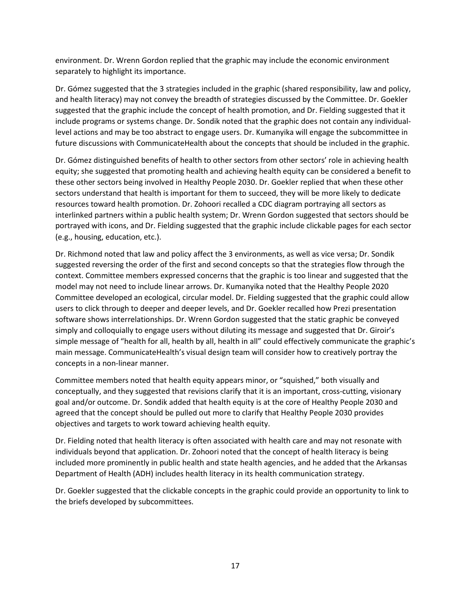environment. Dr. Wrenn Gordon replied that the graphic may include the economic environment separately to highlight its importance.

Dr. Gómez suggested that the 3 strategies included in the graphic (shared responsibility, law and policy, and health literacy) may not convey the breadth of strategies discussed by the Committee. Dr. Goekler suggested that the graphic include the concept of health promotion, and Dr. Fielding suggested that it include programs or systems change. Dr. Sondik noted that the graphic does not contain any individuallevel actions and may be too abstract to engage users. Dr. Kumanyika will engage the subcommittee in future discussions with CommunicateHealth about the concepts that should be included in the graphic.

Dr. Gómez distinguished benefits of health to other sectors from other sectors' role in achieving health equity; she suggested that promoting health and achieving health equity can be considered a benefit to these other sectors being involved in Healthy People 2030. Dr. Goekler replied that when these other sectors understand that health is important for them to succeed, they will be more likely to dedicate resources toward health promotion. Dr. Zohoori recalled a CDC diagram portraying all sectors as interlinked partners within a public health system; Dr. Wrenn Gordon suggested that sectors should be portrayed with icons, and Dr. Fielding suggested that the graphic include clickable pages for each sector (e.g., housing, education, etc.).

Dr. Richmond noted that law and policy affect the 3 environments, as well as vice versa; Dr. Sondik suggested reversing the order of the first and second concepts so that the strategies flow through the context. Committee members expressed concerns that the graphic is too linear and suggested that the model may not need to include linear arrows. Dr. Kumanyika noted that the Healthy People 2020 Committee developed an ecological, circular model. Dr. Fielding suggested that the graphic could allow users to click through to deeper and deeper levels, and Dr. Goekler recalled how Prezi presentation software shows interrelationships. Dr. Wrenn Gordon suggested that the static graphic be conveyed simply and colloquially to engage users without diluting its message and suggested that Dr. Giroir's simple message of "health for all, health by all, health in all" could effectively communicate the graphic's main message. CommunicateHealth's visual design team will consider how to creatively portray the concepts in a non-linear manner.

Committee members noted that health equity appears minor, or "squished," both visually and conceptually, and they suggested that revisions clarify that it is an important, cross-cutting, visionary goal and/or outcome. Dr. Sondik added that health equity is at the core of Healthy People 2030 and agreed that the concept should be pulled out more to clarify that Healthy People 2030 provides objectives and targets to work toward achieving health equity.

Dr. Fielding noted that health literacy is often associated with health care and may not resonate with individuals beyond that application. Dr. Zohoori noted that the concept of health literacy is being included more prominently in public health and state health agencies, and he added that the Arkansas Department of Health (ADH) includes health literacy in its health communication strategy.

Dr. Goekler suggested that the clickable concepts in the graphic could provide an opportunity to link to the briefs developed by subcommittees.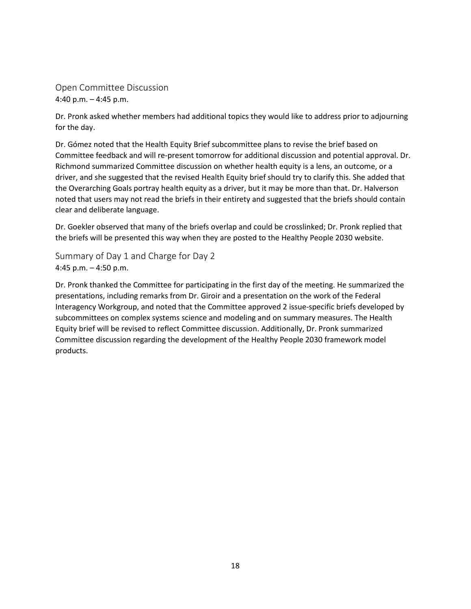Open Committee Discussion 4:40 p.m. – 4:45 p.m.

Dr. Pronk asked whether members had additional topics they would like to address prior to adjourning for the day.

Dr. Gómez noted that the Health Equity Brief subcommittee plans to revise the brief based on Committee feedback and will re-present tomorrow for additional discussion and potential approval. Dr. Richmond summarized Committee discussion on whether health equity is a lens, an outcome, or a driver, and she suggested that the revised Health Equity brief should try to clarify this. She added that the Overarching Goals portray health equity as a driver, but it may be more than that. Dr. Halverson noted that users may not read the briefs in their entirety and suggested that the briefs should contain clear and deliberate language.

Dr. Goekler observed that many of the briefs overlap and could be crosslinked; Dr. Pronk replied that the briefs will be presented this way when they are posted to the Healthy People 2030 website.

Summary of Day 1 and Charge for Day 2 4:45 p.m. – 4:50 p.m.

Dr. Pronk thanked the Committee for participating in the first day of the meeting. He summarized the presentations, including remarks from Dr. Giroir and a presentation on the work of the Federal Interagency Workgroup, and noted that the Committee approved 2 issue-specific briefs developed by subcommittees on complex systems science and modeling and on summary measures. The Health Equity brief will be revised to reflect Committee discussion. Additionally, Dr. Pronk summarized Committee discussion regarding the development of the Healthy People 2030 framework model products.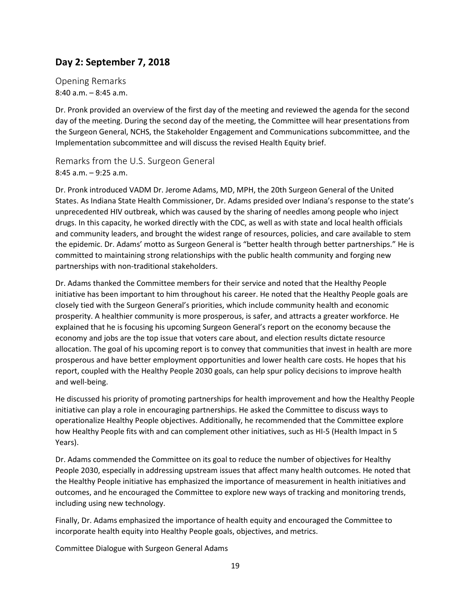# **Day 2: September 7, 2018**

Opening Remarks 8:40 a.m. – 8:45 a.m.

Dr. Pronk provided an overview of the first day of the meeting and reviewed the agenda for the second day of the meeting. During the second day of the meeting, the Committee will hear presentations from the Surgeon General, NCHS, the Stakeholder Engagement and Communications subcommittee, and the Implementation subcommittee and will discuss the revised Health Equity brief.

Remarks from the U.S. Surgeon General 8:45 a.m. – 9:25 a.m.

Dr. Pronk introduced VADM Dr. Jerome Adams, MD, MPH, the 20th Surgeon General of the United States. As Indiana State Health Commissioner, Dr. Adams presided over Indiana's response to the state's unprecedented HIV outbreak, which was caused by the sharing of needles among people who inject drugs. In this capacity, he worked directly with the CDC, as well as with state and local health officials and community leaders, and brought the widest range of resources, policies, and care available to stem the epidemic. Dr. Adams' motto as Surgeon General is "better health through better partnerships." He is committed to maintaining strong relationships with the public health community and forging new partnerships with non-traditional stakeholders.

Dr. Adams thanked the Committee members for their service and noted that the Healthy People initiative has been important to him throughout his career. He noted that the Healthy People goals are closely tied with the Surgeon General's priorities, which include community health and economic prosperity. A healthier community is more prosperous, is safer, and attracts a greater workforce. He explained that he is focusing his upcoming Surgeon General's report on the economy because the economy and jobs are the top issue that voters care about, and election results dictate resource allocation. The goal of his upcoming report is to convey that communities that invest in health are more prosperous and have better employment opportunities and lower health care costs. He hopes that his report, coupled with the Healthy People 2030 goals, can help spur policy decisions to improve health and well-being.

He discussed his priority of promoting partnerships for health improvement and how the Healthy People initiative can play a role in encouraging partnerships. He asked the Committee to discuss ways to operationalize Healthy People objectives. Additionally, he recommended that the Committee explore how Healthy People fits with and can complement other initiatives, such as HI-5 (Health Impact in 5 Years).

Dr. Adams commended the Committee on its goal to reduce the number of objectives for Healthy People 2030, especially in addressing upstream issues that affect many health outcomes. He noted that the Healthy People initiative has emphasized the importance of measurement in health initiatives and outcomes, and he encouraged the Committee to explore new ways of tracking and monitoring trends, including using new technology.

Finally, Dr. Adams emphasized the importance of health equity and encouraged the Committee to incorporate health equity into Healthy People goals, objectives, and metrics.

Committee Dialogue with Surgeon General Adams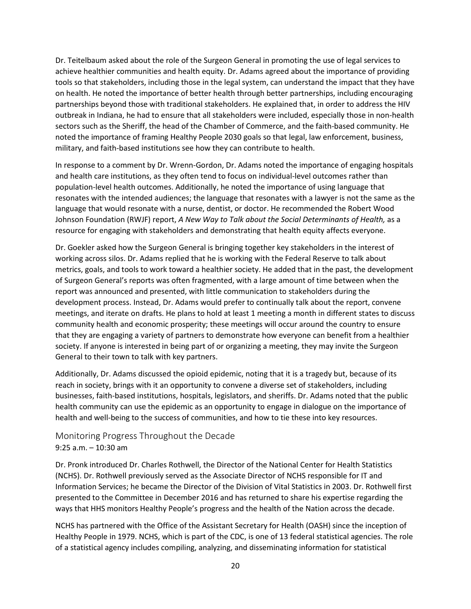Dr. Teitelbaum asked about the role of the Surgeon General in promoting the use of legal services to achieve healthier communities and health equity. Dr. Adams agreed about the importance of providing tools so that stakeholders, including those in the legal system, can understand the impact that they have on health. He noted the importance of better health through better partnerships, including encouraging partnerships beyond those with traditional stakeholders. He explained that, in order to address the HIV outbreak in Indiana, he had to ensure that all stakeholders were included, especially those in non-health sectors such as the Sheriff, the head of the Chamber of Commerce, and the faith-based community. He noted the importance of framing Healthy People 2030 goals so that legal, law enforcement, business, military, and faith-based institutions see how they can contribute to health.

In response to a comment by Dr. Wrenn-Gordon, Dr. Adams noted the importance of engaging hospitals and health care institutions, as they often tend to focus on individual-level outcomes rather than population-level health outcomes. Additionally, he noted the importance of using language that resonates with the intended audiences; the language that resonates with a lawyer is not the same as the language that would resonate with a nurse, dentist, or doctor. He recommended the Robert Wood Johnson Foundation (RWJF) report, *A New Way to Talk about the Social Determinants of Health,* as a resource for engaging with stakeholders and demonstrating that health equity affects everyone.

Dr. Goekler asked how the Surgeon General is bringing together key stakeholders in the interest of working across silos. Dr. Adams replied that he is working with the Federal Reserve to talk about metrics, goals, and tools to work toward a healthier society. He added that in the past, the development of Surgeon General's reports was often fragmented, with a large amount of time between when the report was announced and presented, with little communication to stakeholders during the development process. Instead, Dr. Adams would prefer to continually talk about the report, convene meetings, and iterate on drafts. He plans to hold at least 1 meeting a month in different states to discuss community health and economic prosperity; these meetings will occur around the country to ensure that they are engaging a variety of partners to demonstrate how everyone can benefit from a healthier society. If anyone is interested in being part of or organizing a meeting, they may invite the Surgeon General to their town to talk with key partners.

Additionally, Dr. Adams discussed the opioid epidemic, noting that it is a tragedy but, because of its reach in society, brings with it an opportunity to convene a diverse set of stakeholders, including businesses, faith-based institutions, hospitals, legislators, and sheriffs. Dr. Adams noted that the public health community can use the epidemic as an opportunity to engage in dialogue on the importance of health and well-being to the success of communities, and how to tie these into key resources.

Monitoring Progress Throughout the Decade 9:25 a.m. – 10:30 am

Dr. Pronk introduced Dr. Charles Rothwell, the Director of the National Center for Health Statistics (NCHS). Dr. Rothwell previously served as the Associate Director of NCHS responsible for IT and Information Services; he became the Director of the Division of Vital Statistics in 2003. Dr. Rothwell first presented to the Committee in December 2016 and has returned to share his expertise regarding the ways that HHS monitors Healthy People's progress and the health of the Nation across the decade.

NCHS has partnered with the Office of the Assistant Secretary for Health (OASH) since the inception of Healthy People in 1979. NCHS, which is part of the CDC, is one of 13 federal statistical agencies. The role of a statistical agency includes compiling, analyzing, and disseminating information for statistical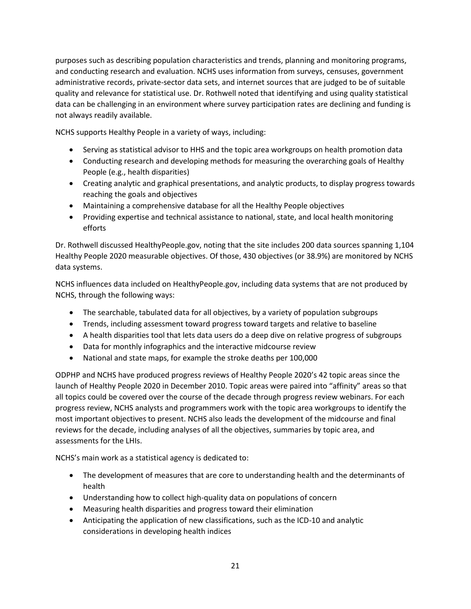purposes such as describing population characteristics and trends, planning and monitoring programs, and conducting research and evaluation. NCHS uses information from surveys, censuses, government administrative records, private-sector data sets, and internet sources that are judged to be of suitable quality and relevance for statistical use. Dr. Rothwell noted that identifying and using quality statistical data can be challenging in an environment where survey participation rates are declining and funding is not always readily available.

NCHS supports Healthy People in a variety of ways, including:

- Serving as statistical advisor to HHS and the topic area workgroups on health promotion data
- Conducting research and developing methods for measuring the overarching goals of Healthy People (e.g., health disparities)
- Creating analytic and graphical presentations, and analytic products, to display progress towards reaching the goals and objectives
- Maintaining a comprehensive database for all the Healthy People objectives
- Providing expertise and technical assistance to national, state, and local health monitoring efforts

Dr. Rothwell discussed HealthyPeople.gov, noting that the site includes 200 data sources spanning 1,104 Healthy People 2020 measurable objectives. Of those, 430 objectives (or 38.9%) are monitored by NCHS data systems.

NCHS influences data included on HealthyPeople.gov, including data systems that are not produced by NCHS, through the following ways:

- The searchable, tabulated data for all objectives, by a variety of population subgroups
- Trends, including assessment toward progress toward targets and relative to baseline
- A health disparities tool that lets data users do a deep dive on relative progress of subgroups
- Data for monthly infographics and the interactive midcourse review
- National and state maps, for example the stroke deaths per 100,000

ODPHP and NCHS have produced progress reviews of Healthy People 2020's 42 topic areas since the launch of Healthy People 2020 in December 2010. Topic areas were paired into "affinity" areas so that all topics could be covered over the course of the decade through progress review webinars. For each progress review, NCHS analysts and programmers work with the topic area workgroups to identify the most important objectives to present. NCHS also leads the development of the midcourse and final reviews for the decade, including analyses of all the objectives, summaries by topic area, and assessments for the LHIs.

NCHS's main work as a statistical agency is dedicated to:

- The development of measures that are core to understanding health and the determinants of health
- Understanding how to collect high-quality data on populations of concern
- Measuring health disparities and progress toward their elimination
- Anticipating the application of new classifications, such as the ICD-10 and analytic considerations in developing health indices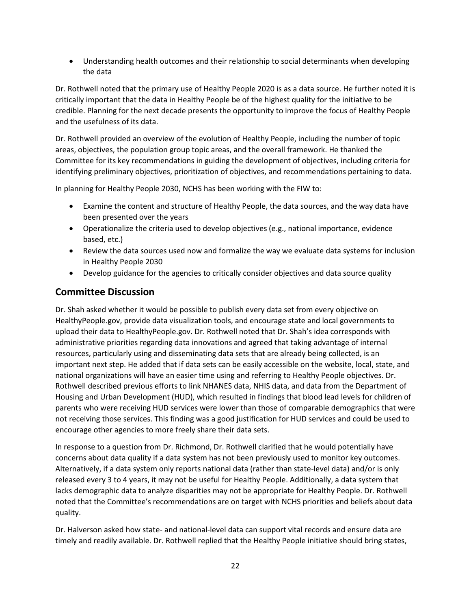• Understanding health outcomes and their relationship to social determinants when developing the data

Dr. Rothwell noted that the primary use of Healthy People 2020 is as a data source. He further noted it is critically important that the data in Healthy People be of the highest quality for the initiative to be credible. Planning for the next decade presents the opportunity to improve the focus of Healthy People and the usefulness of its data.

Dr. Rothwell provided an overview of the evolution of Healthy People, including the number of topic areas, objectives, the population group topic areas, and the overall framework. He thanked the Committee for its key recommendations in guiding the development of objectives, including criteria for identifying preliminary objectives, prioritization of objectives, and recommendations pertaining to data.

In planning for Healthy People 2030, NCHS has been working with the FIW to:

- Examine the content and structure of Healthy People, the data sources, and the way data have been presented over the years
- Operationalize the criteria used to develop objectives (e.g., national importance, evidence based, etc.)
- Review the data sources used now and formalize the way we evaluate data systems for inclusion in Healthy People 2030
- Develop guidance for the agencies to critically consider objectives and data source quality

## Committee Discussion

Dr. Shah asked whether it would be possible to publish every data set from every objective on HealthyPeople.gov, provide data visualization tools, and encourage state and local governments to upload their data to HealthyPeople.gov. Dr. Rothwell noted that Dr. Shah's idea corresponds with administrative priorities regarding data innovations and agreed that taking advantage of internal resources, particularly using and disseminating data sets that are already being collected, is an important next step. He added that if data sets can be easily accessible on the website, local, state, and national organizations will have an easier time using and referring to Healthy People objectives. Dr. Rothwell described previous efforts to link NHANES data, NHIS data, and data from the Department of Housing and Urban Development (HUD), which resulted in findings that blood lead levels for children of parents who were receiving HUD services were lower than those of comparable demographics that were not receiving those services. This finding was a good justification for HUD services and could be used to encourage other agencies to more freely share their data sets.

In response to a question from Dr. Richmond, Dr. Rothwell clarified that he would potentially have concerns about data quality if a data system has not been previously used to monitor key outcomes. Alternatively, if a data system only reports national data (rather than state-level data) and/or is only released every 3 to 4 years, it may not be useful for Healthy People. Additionally, a data system that lacks demographic data to analyze disparities may not be appropriate for Healthy People. Dr. Rothwell noted that the Committee's recommendations are on target with NCHS priorities and beliefs about data quality.

Dr. Halverson asked how state- and national-level data can support vital records and ensure data are timely and readily available. Dr. Rothwell replied that the Healthy People initiative should bring states,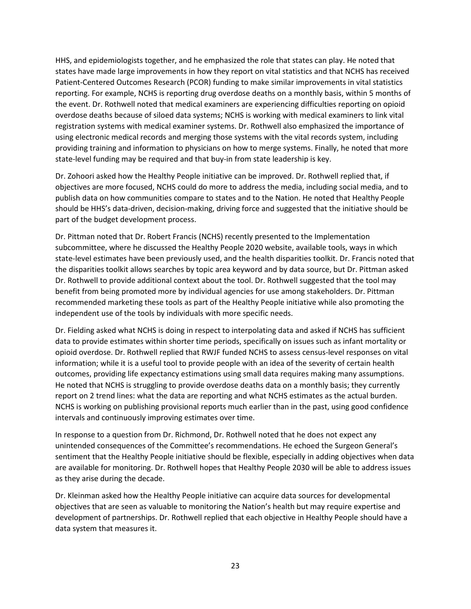HHS, and epidemiologists together, and he emphasized the role that states can play. He noted that states have made large improvements in how they report on vital statistics and that NCHS has received Patient-Centered Outcomes Research (PCOR) funding to make similar improvements in vital statistics reporting. For example, NCHS is reporting drug overdose deaths on a monthly basis, within 5 months of the event. Dr. Rothwell noted that medical examiners are experiencing difficulties reporting on opioid overdose deaths because of siloed data systems; NCHS is working with medical examiners to link vital registration systems with medical examiner systems. Dr. Rothwell also emphasized the importance of using electronic medical records and merging those systems with the vital records system, including providing training and information to physicians on how to merge systems. Finally, he noted that more state-level funding may be required and that buy-in from state leadership is key.

Dr. Zohoori asked how the Healthy People initiative can be improved. Dr. Rothwell replied that, if objectives are more focused, NCHS could do more to address the media, including social media, and to publish data on how communities compare to states and to the Nation. He noted that Healthy People should be HHS's data-driven, decision-making, driving force and suggested that the initiative should be part of the budget development process.

Dr. Pittman noted that Dr. Robert Francis (NCHS) recently presented to the Implementation subcommittee, where he discussed the Healthy People 2020 website, available tools, ways in which state-level estimates have been previously used, and the health disparities toolkit. Dr. Francis noted that the disparities toolkit allows searches by topic area keyword and by data source, but Dr. Pittman asked Dr. Rothwell to provide additional context about the tool. Dr. Rothwell suggested that the tool may benefit from being promoted more by individual agencies for use among stakeholders. Dr. Pittman recommended marketing these tools as part of the Healthy People initiative while also promoting the independent use of the tools by individuals with more specific needs.

Dr. Fielding asked what NCHS is doing in respect to interpolating data and asked if NCHS has sufficient data to provide estimates within shorter time periods, specifically on issues such as infant mortality or opioid overdose. Dr. Rothwell replied that RWJF funded NCHS to assess census-level responses on vital information; while it is a useful tool to provide people with an idea of the severity of certain health outcomes, providing life expectancy estimations using small data requires making many assumptions. He noted that NCHS is struggling to provide overdose deaths data on a monthly basis; they currently report on 2 trend lines: what the data are reporting and what NCHS estimates as the actual burden. NCHS is working on publishing provisional reports much earlier than in the past, using good confidence intervals and continuously improving estimates over time.

In response to a question from Dr. Richmond, Dr. Rothwell noted that he does not expect any unintended consequences of the Committee's recommendations. He echoed the Surgeon General's sentiment that the Healthy People initiative should be flexible, especially in adding objectives when data are available for monitoring. Dr. Rothwell hopes that Healthy People 2030 will be able to address issues as they arise during the decade.

Dr. Kleinman asked how the Healthy People initiative can acquire data sources for developmental objectives that are seen as valuable to monitoring the Nation's health but may require expertise and development of partnerships. Dr. Rothwell replied that each objective in Healthy People should have a data system that measures it.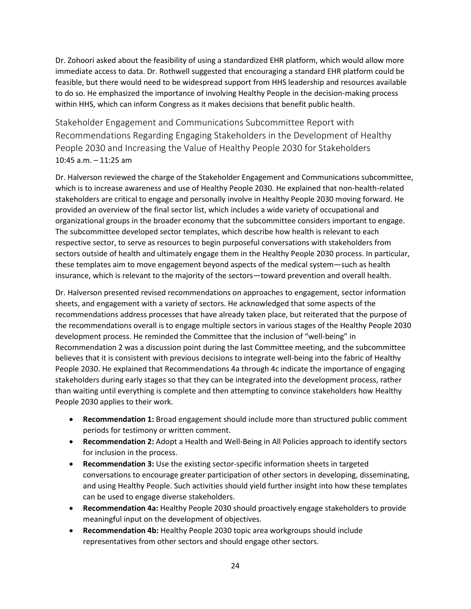Dr. Zohoori asked about the feasibility of using a standardized EHR platform, which would allow more immediate access to data. Dr. Rothwell suggested that encouraging a standard EHR platform could be feasible, but there would need to be widespread support from HHS leadership and resources available to do so. He emphasized the importance of involving Healthy People in the decision-making process within HHS, which can inform Congress as it makes decisions that benefit public health.

Stakeholder Engagement and Communications Subcommittee Report with Recommendations Regarding Engaging Stakeholders in the Development of Healthy People 2030 and Increasing the Value of Healthy People 2030 for Stakeholders 10:45 a.m. – 11:25 am

Dr. Halverson reviewed the charge of the Stakeholder Engagement and Communications subcommittee, which is to increase awareness and use of Healthy People 2030. He explained that non-health-related stakeholders are critical to engage and personally involve in Healthy People 2030 moving forward. He provided an overview of the final sector list, which includes a wide variety of occupational and organizational groups in the broader economy that the subcommittee considers important to engage. The subcommittee developed sector templates, which describe how health is relevant to each respective sector, to serve as resources to begin purposeful conversations with stakeholders from sectors outside of health and ultimately engage them in the Healthy People 2030 process. In particular, these templates aim to move engagement beyond aspects of the medical system—such as health insurance, which is relevant to the majority of the sectors—toward prevention and overall health.

Dr. Halverson presented revised recommendations on approaches to engagement, sector information sheets, and engagement with a variety of sectors. He acknowledged that some aspects of the recommendations address processes that have already taken place, but reiterated that the purpose of the recommendations overall is to engage multiple sectors in various stages of the Healthy People 2030 development process. He reminded the Committee that the inclusion of "well-being" in Recommendation 2 was a discussion point during the last Committee meeting, and the subcommittee believes that it is consistent with previous decisions to integrate well-being into the fabric of Healthy People 2030. He explained that Recommendations 4a through 4c indicate the importance of engaging stakeholders during early stages so that they can be integrated into the development process, rather than waiting until everything is complete and then attempting to convince stakeholders how Healthy People 2030 applies to their work.

- **Recommendation 1:** Broad engagement should include more than structured public comment periods for testimony or written comment.
- **Recommendation 2:** Adopt a Health and Well-Being in All Policies approach to identify sectors for inclusion in the process.
- **Recommendation 3:** Use the existing sector-specific information sheets in targeted conversations to encourage greater participation of other sectors in developing, disseminating, and using Healthy People. Such activities should yield further insight into how these templates can be used to engage diverse stakeholders.
- **Recommendation 4a:** Healthy People 2030 should proactively engage stakeholders to provide meaningful input on the development of objectives.
- **Recommendation 4b:** Healthy People 2030 topic area workgroups should include representatives from other sectors and should engage other sectors.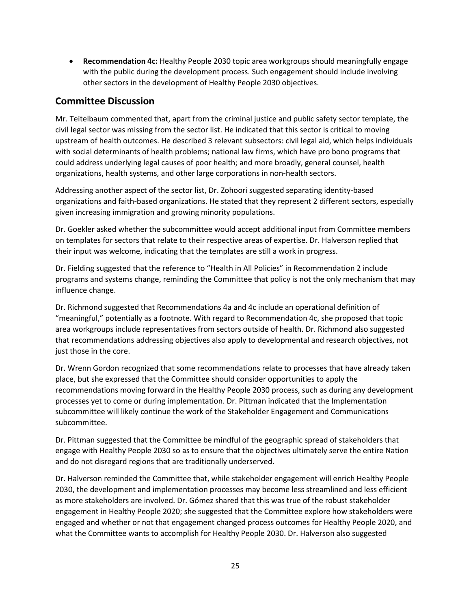• **Recommendation 4c:** Healthy People 2030 topic area workgroups should meaningfully engage with the public during the development process. Such engagement should include involving other sectors in the development of Healthy People 2030 objectives.

#### Committee Discussion

Mr. Teitelbaum commented that, apart from the criminal justice and public safety sector template, the civil legal sector was missing from the sector list. He indicated that this sector is critical to moving upstream of health outcomes. He described 3 relevant subsectors: civil legal aid, which helps individuals with social determinants of health problems; national law firms, which have pro bono programs that could address underlying legal causes of poor health; and more broadly, general counsel, health organizations, health systems, and other large corporations in non-health sectors.

Addressing another aspect of the sector list, Dr. Zohoori suggested separating identity-based organizations and faith-based organizations. He stated that they represent 2 different sectors, especially given increasing immigration and growing minority populations.

Dr. Goekler asked whether the subcommittee would accept additional input from Committee members on templates for sectors that relate to their respective areas of expertise. Dr. Halverson replied that their input was welcome, indicating that the templates are still a work in progress.

Dr. Fielding suggested that the reference to "Health in All Policies" in Recommendation 2 include programs and systems change, reminding the Committee that policy is not the only mechanism that may influence change.

Dr. Richmond suggested that Recommendations 4a and 4c include an operational definition of "meaningful," potentially as a footnote. With regard to Recommendation 4c, she proposed that topic area workgroups include representatives from sectors outside of health. Dr. Richmond also suggested that recommendations addressing objectives also apply to developmental and research objectives, not just those in the core.

Dr. Wrenn Gordon recognized that some recommendations relate to processes that have already taken place, but she expressed that the Committee should consider opportunities to apply the recommendations moving forward in the Healthy People 2030 process, such as during any development processes yet to come or during implementation. Dr. Pittman indicated that the Implementation subcommittee will likely continue the work of the Stakeholder Engagement and Communications subcommittee.

Dr. Pittman suggested that the Committee be mindful of the geographic spread of stakeholders that engage with Healthy People 2030 so as to ensure that the objectives ultimately serve the entire Nation and do not disregard regions that are traditionally underserved.

Dr. Halverson reminded the Committee that, while stakeholder engagement will enrich Healthy People 2030, the development and implementation processes may become less streamlined and less efficient as more stakeholders are involved. Dr. Gómez shared that this was true of the robust stakeholder engagement in Healthy People 2020; she suggested that the Committee explore how stakeholders were engaged and whether or not that engagement changed process outcomes for Healthy People 2020, and what the Committee wants to accomplish for Healthy People 2030. Dr. Halverson also suggested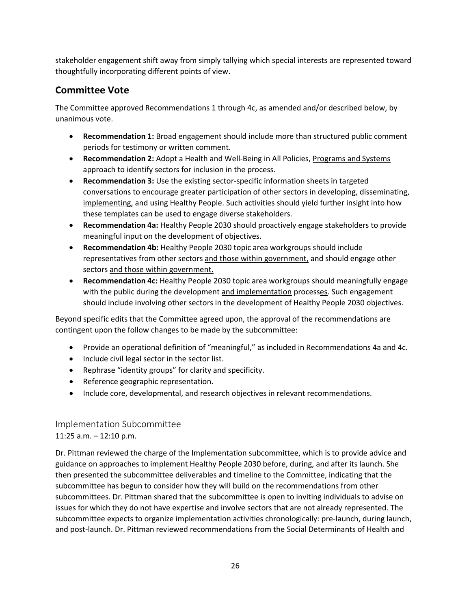stakeholder engagement shift away from simply tallying which special interests are represented toward thoughtfully incorporating different points of view.

### Committee Vote

The Committee approved Recommendations 1 through 4c, as amended and/or described below, by unanimous vote.

- **Recommendation 1:** Broad engagement should include more than structured public comment periods for testimony or written comment.
- **Recommendation 2:** Adopt a Health and Well-Being in All Policies, *Programs and Systems* approach to identify sectors for inclusion in the process.
- **Recommendation 3:** Use the existing sector-specific information sheets in targeted conversations to encourage greater participation of other sectors in developing, disseminating, implementing, and using Healthy People. Such activities should yield further insight into how these templates can be used to engage diverse stakeholders.
- **Recommendation 4a:** Healthy People 2030 should proactively engage stakeholders to provide meaningful input on the development of objectives.
- **Recommendation 4b:** Healthy People 2030 topic area workgroups should include representatives from other sectors and those within government, and should engage other sectors and those within government.
- **Recommendation 4c:** Healthy People 2030 topic area workgroups should meaningfully engage with the public during the development and implementation processes. Such engagement should include involving other sectors in the development of Healthy People 2030 objectives.

Beyond specific edits that the Committee agreed upon, the approval of the recommendations are contingent upon the follow changes to be made by the subcommittee:

- Provide an operational definition of "meaningful," as included in Recommendations 4a and 4c.
- Include civil legal sector in the sector list.
- Rephrase "identity groups" for clarity and specificity.
- Reference geographic representation.
- Include core, developmental, and research objectives in relevant recommendations.

## Implementation Subcommittee

## 11:25 a.m. – 12:10 p.m.

Dr. Pittman reviewed the charge of the Implementation subcommittee, which is to provide advice and guidance on approaches to implement Healthy People 2030 before, during, and after its launch. She then presented the subcommittee deliverables and timeline to the Committee, indicating that the subcommittee has begun to consider how they will build on the recommendations from other subcommittees. Dr. Pittman shared that the subcommittee is open to inviting individuals to advise on issues for which they do not have expertise and involve sectors that are not already represented. The subcommittee expects to organize implementation activities chronologically: pre-launch, during launch, and post-launch. Dr. Pittman reviewed recommendations from the Social Determinants of Health and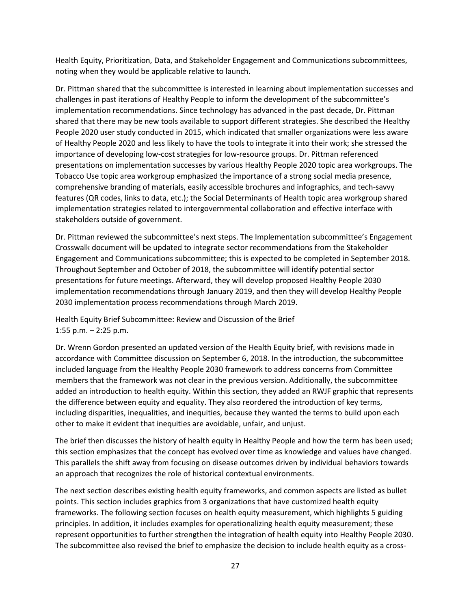Health Equity, Prioritization, Data, and Stakeholder Engagement and Communications subcommittees, noting when they would be applicable relative to launch.

Dr. Pittman shared that the subcommittee is interested in learning about implementation successes and challenges in past iterations of Healthy People to inform the development of the subcommittee's implementation recommendations. Since technology has advanced in the past decade, Dr. Pittman shared that there may be new tools available to support different strategies. She described the Healthy People 2020 user study conducted in 2015, which indicated that smaller organizations were less aware of Healthy People 2020 and less likely to have the tools to integrate it into their work; she stressed the importance of developing low-cost strategies for low-resource groups. Dr. Pittman referenced presentations on implementation successes by various Healthy People 2020 topic area workgroups. The Tobacco Use topic area workgroup emphasized the importance of a strong social media presence, comprehensive branding of materials, easily accessible brochures and infographics, and tech-savvy features (QR codes, links to data, etc.); the Social Determinants of Health topic area workgroup shared implementation strategies related to intergovernmental collaboration and effective interface with stakeholders outside of government.

Dr. Pittman reviewed the subcommittee's next steps. The Implementation subcommittee's Engagement Crosswalk document will be updated to integrate sector recommendations from the Stakeholder Engagement and Communications subcommittee; this is expected to be completed in September 2018. Throughout September and October of 2018, the subcommittee will identify potential sector presentations for future meetings. Afterward, they will develop proposed Healthy People 2030 implementation recommendations through January 2019, and then they will develop Healthy People 2030 implementation process recommendations through March 2019.

Health Equity Brief Subcommittee: Review and Discussion of the Brief 1:55 p.m. – 2:25 p.m.

Dr. Wrenn Gordon presented an updated version of the Health Equity brief, with revisions made in accordance with Committee discussion on September 6, 2018. In the introduction, the subcommittee included language from the Healthy People 2030 framework to address concerns from Committee members that the framework was not clear in the previous version. Additionally, the subcommittee added an introduction to health equity. Within this section, they added an RWJF graphic that represents the difference between equity and equality. They also reordered the introduction of key terms, including disparities, inequalities, and inequities, because they wanted the terms to build upon each other to make it evident that inequities are avoidable, unfair, and unjust.

The brief then discusses the history of health equity in Healthy People and how the term has been used; this section emphasizes that the concept has evolved over time as knowledge and values have changed. This parallels the shift away from focusing on disease outcomes driven by individual behaviors towards an approach that recognizes the role of historical contextual environments.

The next section describes existing health equity frameworks, and common aspects are listed as bullet points. This section includes graphics from 3 organizations that have customized health equity frameworks. The following section focuses on health equity measurement, which highlights 5 guiding principles. In addition, it includes examples for operationalizing health equity measurement; these represent opportunities to further strengthen the integration of health equity into Healthy People 2030. The subcommittee also revised the brief to emphasize the decision to include health equity as a cross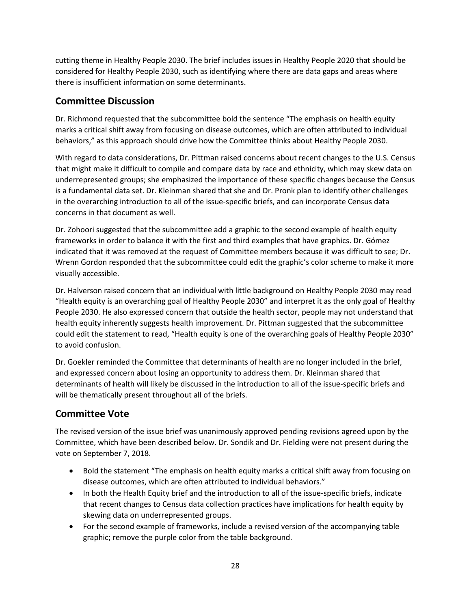cutting theme in Healthy People 2030. The brief includes issues in Healthy People 2020 that should be considered for Healthy People 2030, such as identifying where there are data gaps and areas where there is insufficient information on some determinants.

## Committee Discussion

Dr. Richmond requested that the subcommittee bold the sentence "The emphasis on health equity marks a critical shift away from focusing on disease outcomes, which are often attributed to individual behaviors," as this approach should drive how the Committee thinks about Healthy People 2030.

With regard to data considerations, Dr. Pittman raised concerns about recent changes to the U.S. Census that might make it difficult to compile and compare data by race and ethnicity, which may skew data on underrepresented groups; she emphasized the importance of these specific changes because the Census is a fundamental data set. Dr. Kleinman shared that she and Dr. Pronk plan to identify other challenges in the overarching introduction to all of the issue-specific briefs, and can incorporate Census data concerns in that document as well.

Dr. Zohoori suggested that the subcommittee add a graphic to the second example of health equity frameworks in order to balance it with the first and third examples that have graphics. Dr. Gómez indicated that it was removed at the request of Committee members because it was difficult to see; Dr. Wrenn Gordon responded that the subcommittee could edit the graphic's color scheme to make it more visually accessible.

Dr. Halverson raised concern that an individual with little background on Healthy People 2030 may read "Health equity is an overarching goal of Healthy People 2030" and interpret it as the only goal of Healthy People 2030. He also expressed concern that outside the health sector, people may not understand that health equity inherently suggests health improvement. Dr. Pittman suggested that the subcommittee could edit the statement to read, "Health equity is one of the overarching goal**s** of Healthy People 2030" to avoid confusion.

Dr. Goekler reminded the Committee that determinants of health are no longer included in the brief, and expressed concern about losing an opportunity to address them. Dr. Kleinman shared that determinants of health will likely be discussed in the introduction to all of the issue-specific briefs and will be thematically present throughout all of the briefs.

## Committee Vote

The revised version of the issue brief was unanimously approved pending revisions agreed upon by the Committee, which have been described below. Dr. Sondik and Dr. Fielding were not present during the vote on September 7, 2018.

- Bold the statement "The emphasis on health equity marks a critical shift away from focusing on disease outcomes, which are often attributed to individual behaviors."
- In both the Health Equity brief and the introduction to all of the issue-specific briefs, indicate that recent changes to Census data collection practices have implications for health equity by skewing data on underrepresented groups.
- For the second example of frameworks, include a revised version of the accompanying table graphic; remove the purple color from the table background.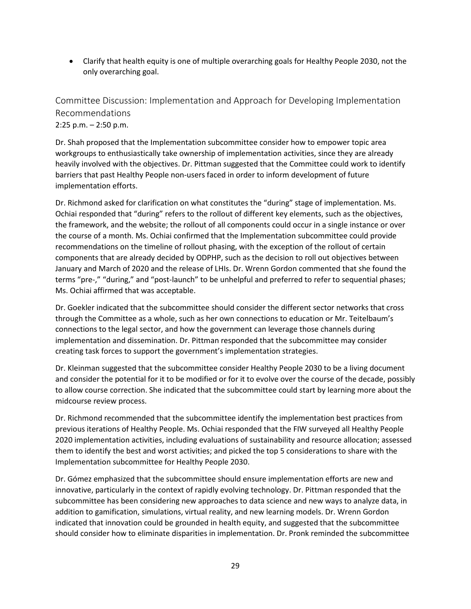• Clarify that health equity is one of multiple overarching goals for Healthy People 2030, not the only overarching goal.

Committee Discussion: Implementation and Approach for Developing Implementation Recommendations 2:25 p.m. – 2:50 p.m.

Dr. Shah proposed that the Implementation subcommittee consider how to empower topic area workgroups to enthusiastically take ownership of implementation activities, since they are already heavily involved with the objectives. Dr. Pittman suggested that the Committee could work to identify barriers that past Healthy People non-users faced in order to inform development of future implementation efforts.

Dr. Richmond asked for clarification on what constitutes the "during" stage of implementation. Ms. Ochiai responded that "during" refers to the rollout of different key elements, such as the objectives, the framework, and the website; the rollout of all components could occur in a single instance or over the course of a month. Ms. Ochiai confirmed that the Implementation subcommittee could provide recommendations on the timeline of rollout phasing, with the exception of the rollout of certain components that are already decided by ODPHP, such as the decision to roll out objectives between January and March of 2020 and the release of LHIs. Dr. Wrenn Gordon commented that she found the terms "pre-," "during," and "post-launch" to be unhelpful and preferred to refer to sequential phases; Ms. Ochiai affirmed that was acceptable.

Dr. Goekler indicated that the subcommittee should consider the different sector networks that cross through the Committee as a whole, such as her own connections to education or Mr. Teitelbaum's connections to the legal sector, and how the government can leverage those channels during implementation and dissemination. Dr. Pittman responded that the subcommittee may consider creating task forces to support the government's implementation strategies.

Dr. Kleinman suggested that the subcommittee consider Healthy People 2030 to be a living document and consider the potential for it to be modified or for it to evolve over the course of the decade, possibly to allow course correction. She indicated that the subcommittee could start by learning more about the midcourse review process.

Dr. Richmond recommended that the subcommittee identify the implementation best practices from previous iterations of Healthy People. Ms. Ochiai responded that the FIW surveyed all Healthy People 2020 implementation activities, including evaluations of sustainability and resource allocation; assessed them to identify the best and worst activities; and picked the top 5 considerations to share with the Implementation subcommittee for Healthy People 2030.

Dr. Gómez emphasized that the subcommittee should ensure implementation efforts are new and innovative, particularly in the context of rapidly evolving technology. Dr. Pittman responded that the subcommittee has been considering new approaches to data science and new ways to analyze data, in addition to gamification, simulations, virtual reality, and new learning models. Dr. Wrenn Gordon indicated that innovation could be grounded in health equity, and suggested that the subcommittee should consider how to eliminate disparities in implementation. Dr. Pronk reminded the subcommittee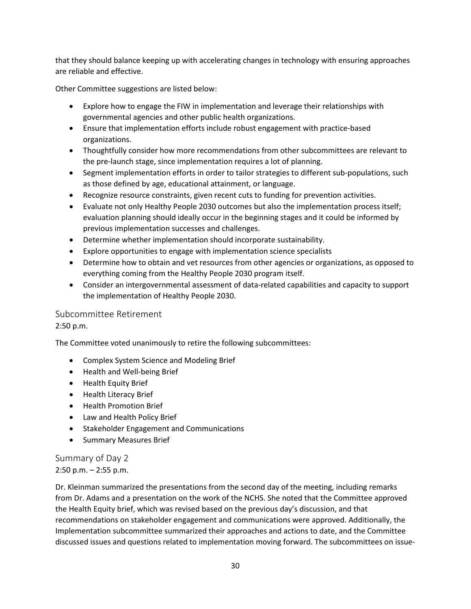that they should balance keeping up with accelerating changes in technology with ensuring approaches are reliable and effective.

Other Committee suggestions are listed below:

- Explore how to engage the FIW in implementation and leverage their relationships with governmental agencies and other public health organizations.
- Ensure that implementation efforts include robust engagement with practice-based organizations.
- Thoughtfully consider how more recommendations from other subcommittees are relevant to the pre-launch stage, since implementation requires a lot of planning.
- Segment implementation efforts in order to tailor strategies to different sub-populations, such as those defined by age, educational attainment, or language.
- Recognize resource constraints, given recent cuts to funding for prevention activities.
- Evaluate not only Healthy People 2030 outcomes but also the implementation process itself; evaluation planning should ideally occur in the beginning stages and it could be informed by previous implementation successes and challenges.
- Determine whether implementation should incorporate sustainability.
- Explore opportunities to engage with implementation science specialists
- Determine how to obtain and vet resources from other agencies or organizations, as opposed to everything coming from the Healthy People 2030 program itself.
- Consider an intergovernmental assessment of data-related capabilities and capacity to support the implementation of Healthy People 2030.

## Subcommittee Retirement

2:50 p.m.

The Committee voted unanimously to retire the following subcommittees:

- Complex System Science and Modeling Brief
- Health and Well-being Brief
- Health Equity Brief
- Health Literacy Brief
- Health Promotion Brief
- Law and Health Policy Brief
- Stakeholder Engagement and Communications
- Summary Measures Brief

Summary of Day 2 2:50 p.m. – 2:55 p.m.

Dr. Kleinman summarized the presentations from the second day of the meeting, including remarks from Dr. Adams and a presentation on the work of the NCHS. She noted that the Committee approved the Health Equity brief, which was revised based on the previous day's discussion, and that recommendations on stakeholder engagement and communications were approved. Additionally, the Implementation subcommittee summarized their approaches and actions to date, and the Committee discussed issues and questions related to implementation moving forward. The subcommittees on issue